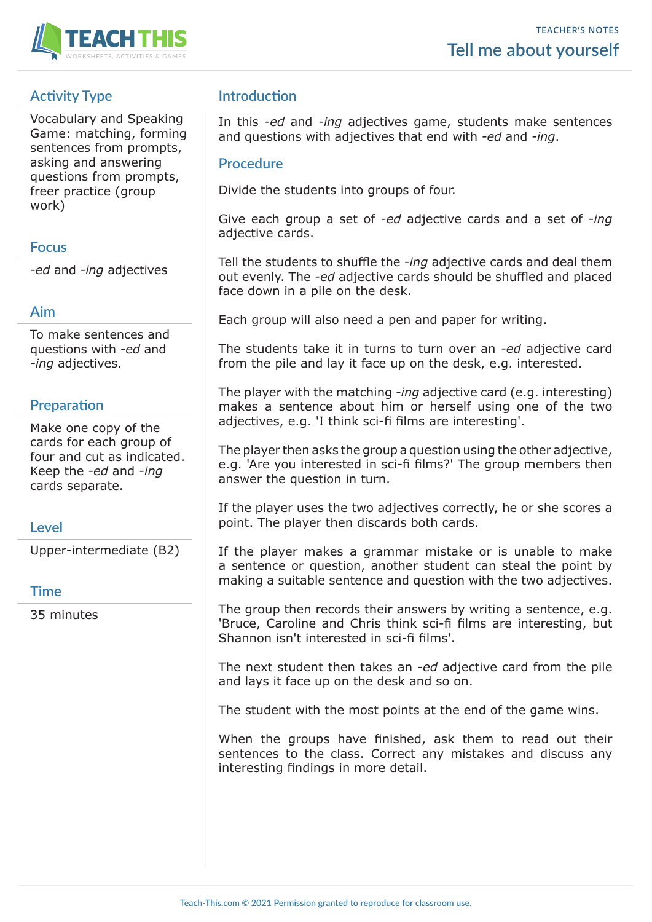

# **Activity Type**

Vocabulary and Speaking Game: matching, forming sentences from prompts, asking and answering questions from prompts, freer practice (group work)

### **Focus**

*-ed* and *-ing* adjectives

#### **Aim**

To make sentences and questions with *-ed* and *-ing* adjectives.

### **Preparation**

Make one copy of the cards for each group of four and cut as indicated. Keep the *-ed* and *-ing* cards separate.

#### **Level**

Upper-intermediate (B2)

#### **Time**

35 minutes

## **Introduction**

In this *-ed* and *-ing* adjectives game, students make sentences and questions with adjectives that end with *-ed* and *-ing*.

#### **Procedure**

Divide the students into groups of four.

Give each group a set of *-ed* adjective cards and a set of *-ing*  adjective cards.

Tell the students to shuffle the *-ing* adjective cards and deal them out evenly. The *-ed* adjective cards should be shuffled and placed face down in a pile on the desk.

Each group will also need a pen and paper for writing.

The students take it in turns to turn over an *-ed* adjective card from the pile and lay it face up on the desk, e.g. interested.

The player with the matching *-ing* adjective card (e.g. interesting) makes a sentence about him or herself using one of the two adjectives, e.g. 'I think sci-fi films are interesting'.

The player then asks the group a question using the other adjective, e.g. 'Are you interested in sci-fi films?' The group members then answer the question in turn.

If the player uses the two adjectives correctly, he or she scores a point. The player then discards both cards.

If the player makes a grammar mistake or is unable to make a sentence or question, another student can steal the point by making a suitable sentence and question with the two adjectives.

The group then records their answers by writing a sentence, e.g. 'Bruce, Caroline and Chris think sci-fi films are interesting, but Shannon isn't interested in sci-fi films'.

The next student then takes an *-ed* adjective card from the pile and lays it face up on the desk and so on.

The student with the most points at the end of the game wins.

When the groups have finished, ask them to read out their sentences to the class. Correct any mistakes and discuss any interesting findings in more detail.